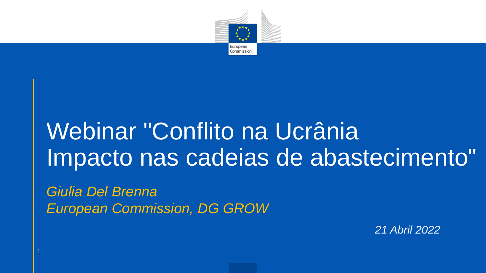

## Webinar "Conflito na Ucrânia Impacto nas cadeias de abastecimento"

*Giulia Del Brenna European Commission, DG GROW*

*21 Abril 2022*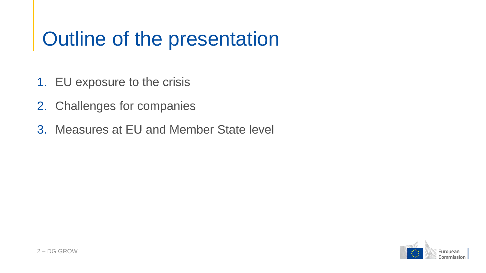## Outline of the presentation

- 1. EU exposure to the crisis
- 2. Challenges for companies
- 3. Measures at EU and Member State level

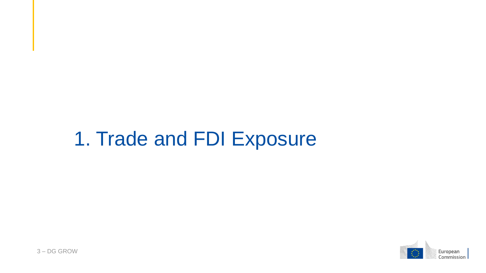#### 1. Trade and FDI Exposure

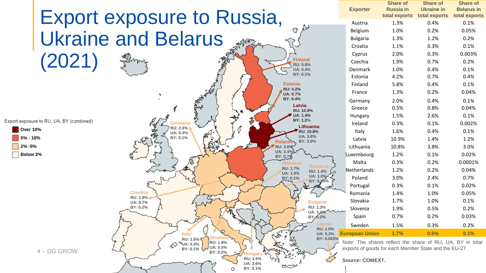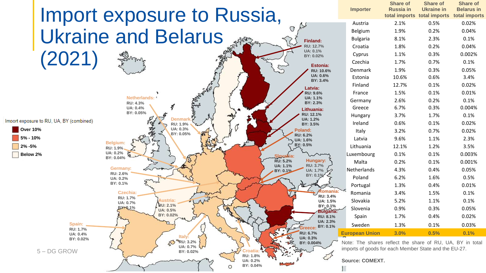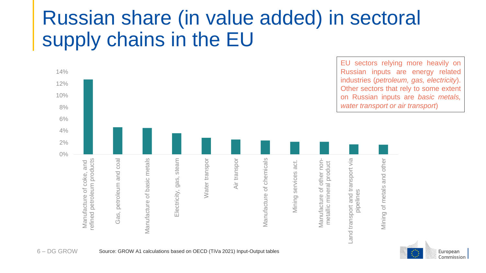## Russian share (in value added) in sectoral supply chains in the EU



European Commission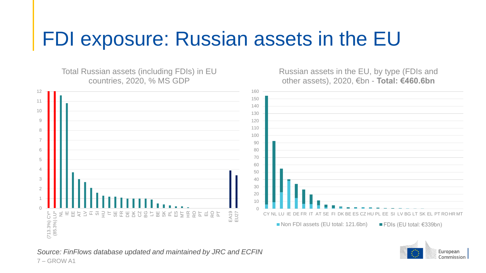## FDI exposure: Russian assets in the EU

Total Russian assets (including FDIs) in EU countries, 2020, % MS GDP

Russian assets in the EU, by type (FDIs and other assets), 2020, €bn - **Total: €460.6bn**





*Source: FinFlows database updated and maintained by JRC and ECFIN* – GROW A1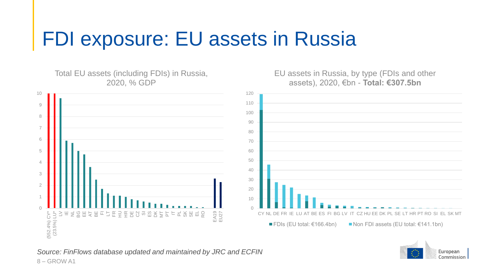## FDI exposure: EU assets in Russia

Total EU assets (including FDIs) in Russia, 2020, % GDP





EU assets in Russia, by type (FDIs and other assets), 2020, €bn - **Total: €307.5bn**

*Source: FinFlows database updated and maintained by JRC and ECFIN* – GROW A1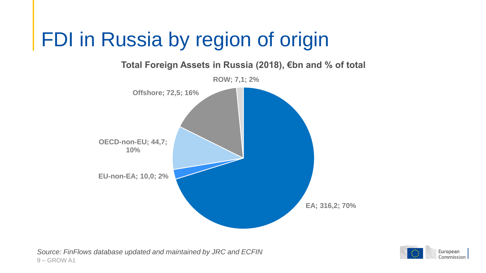## FDI in Russia by region of origin



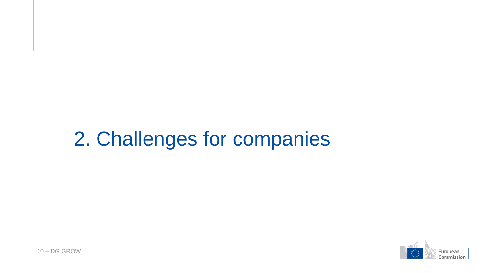## 2. Challenges for companies



 $10 - DG$  GROW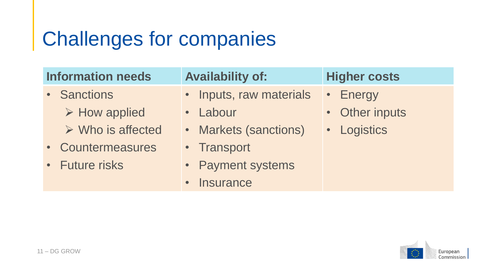## Challenges for companies

| <b>Information needs</b> |                                  | <b>Availability of:</b> | <b>Higher costs</b> |
|--------------------------|----------------------------------|-------------------------|---------------------|
|                          | • Sanctions                      | • Inputs, raw materials | • Energy            |
|                          | $\triangleright$ How applied     | • Labour                | • Other inputs      |
|                          | $\triangleright$ Who is affected | • Markets (sanctions)   | • Logistics         |
|                          | • Countermeasures                | • Transport             |                     |
|                          | • Future risks                   | • Payment systems       |                     |
|                          |                                  | · Insurance             |                     |

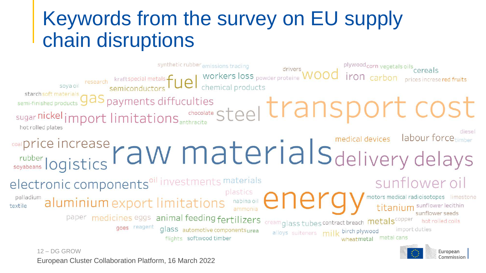## Keywords from the survey on EU supply chain disruptions



European Cluster Collaboration Platform, 16 March 2022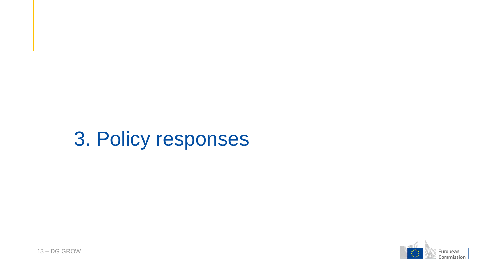## 3. Policy responses



13 - DG GROW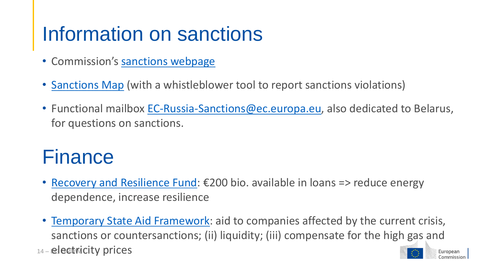## Information on sanctions

- Commission's [sanctions webpage](https://ec.europa.eu/info/business-economy-euro/banking-and-finance/international-relations/restrictive-measures-sanctions_en)
- [Sanctions Map](https://www.sanctionsmap.eu/#/main) (with a whistleblower tool to report sanctions violations)
- Functional mailbox [EC-Russia-Sanctions@ec.europa.eu,](mailto:EC-Russia-Sanctions@ec.europa.eu) also dedicated to Belarus, for questions on sanctions.

#### **Finance**

- [Recovery and Resilience Fund](https://ec.europa.eu/info/business-economy-euro/recovery-coronavirus/recovery-and-resilience-facility_en#the-recovery-and-resilience-facility):  $\epsilon$ 200 bio. available in loans => reduce energy dependence, increase resilience
- [Temporary State Aid Framework:](https://ec.europa.eu/commission/presscorner/detail/en/statement_22_1949) aid to companies affected by the current crisis, sanctions or countersanctions; (ii) liquidity; (iii) compensate for the high gas and 14 - electwicity prices European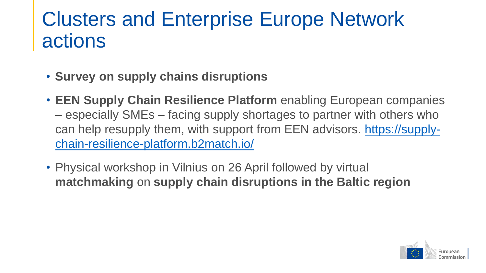## Clusters and Enterprise Europe Network actions

- **Survey on supply chains disruptions**
- **EEN Supply Chain Resilience Platform** enabling European companies – especially SMEs – facing supply shortages to partner with others who [can help resupply them, with support from EEN advisors. https://supply](https://supply-chain-resilience-platform.b2match.io/)chain-resilience-platform.b2match.io/
- Physical workshop in Vilnius on 26 April followed by virtual **matchmaking** on **supply chain disruptions in the Baltic region**

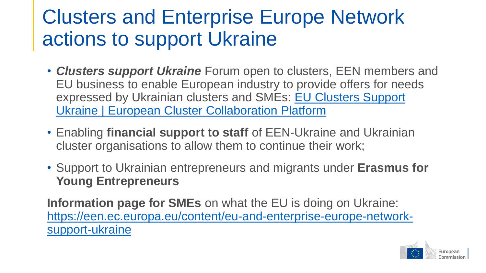## Clusters and Enterprise Europe Network actions to support Ukraine

- *Clusters support Ukraine* Forum open to clusters, EEN members and EU business to enable European industry to provide offers for needs [expressed by Ukrainian clusters and SMEs: EU Clusters Support](https://clustercollaboration.eu/content/eu-clusters-supporting-ukraine) Ukraine | European Cluster Collaboration Platform
- Enabling **financial support to staff** of EEN-Ukraine and Ukrainian cluster organisations to allow them to continue their work;
- Support to Ukrainian entrepreneurs and migrants under **Erasmus for Young Entrepreneurs**

**Information page for SMEs** on what the EU is doing on Ukraine: [https://een.ec.europa.eu/content/eu-and-enterprise-europe-network](https://een.ec.europa.eu/content/eu-and-enterprise-europe-network-support-ukraine)support-ukraine